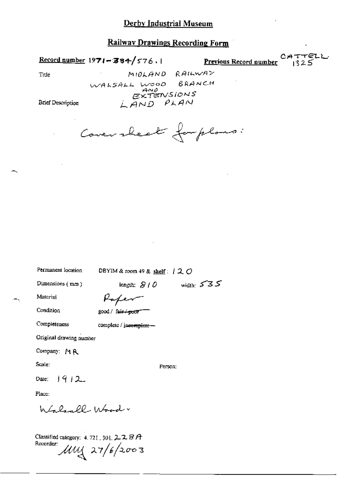### Record number 1971-384/576.1

Previous Record number

Title

ست<mark>ے ہوتا ہے۔</mark><br>ا

MIOLAND RAILWAY WALSALL WOOD BRANCH EXTENSIONS<br>EXTENSIONS

**Brief Description** 

Coversheet forpland:

Permanent location

DBYIM & room 49 & shelf:  $120$ 

Dimensions (mm)

length:  $S/O$  width:  $S S S$ 

Material Condition

good / fair / poor"

Completeness

complete / jneemplete -

Paper

Original drawing number

Company: MR

Scale:

Person:

 $1912$ Date:

Place:

h La landl - Wood

Classified category: 4, 721, 301, 2, 2, 8 A Recorder:  $\mu$ uy 27/6/2003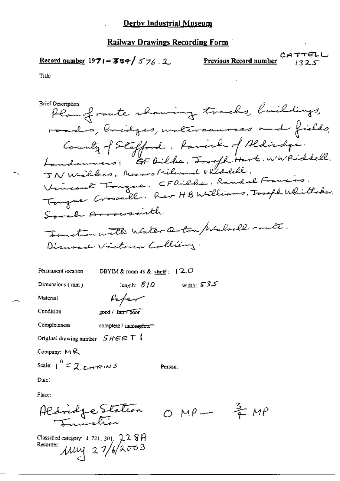### Record number 1971-384/576.2

**Previous Record number**  $2477722$ 

#### Title

**Brief Description** 

Plan of route showing tracks, buildings, roads, bridges, untercauses and fields, County of Stafford, family of Aldindys. Vincent Tingue. CFDilbe. Randal Francis. Tongue Crossall. Rev HB Williams, Joseph Whittaker. Sarah Arrowsmith. Tunction with Water Orton Malvell route. Disured Victoria Colliery.

Permanent location

DBYIM & room 49 & shelf :  $(2.0$ 

length:  $8/0$ 

Paper

Dimensions (mm)

width:  $535$ 

Person:

Material Condition

good / fair / poor

Completeness complete / incomplete-

Original drawing number  $SHEE$  T

Company:  $M$  $R$ 

Scale:  $1^{h} = 2c + 191/5$ 

Dute:

Place:

Aldridge Station

Classified category:  $4.721, 301, 22.8H$ Recorder:  $\mu$ uy 27/6/2003

 $OMP - \frac{3}{4}MP$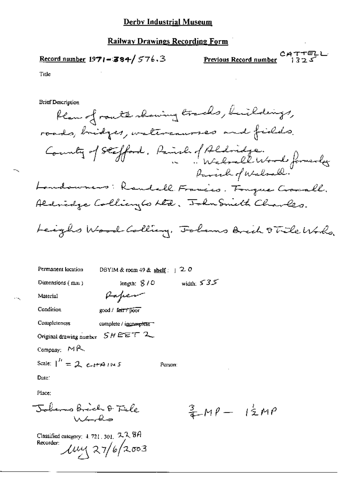#### Derby Industrial Museum

#### **Railway Drawings Recording Form**

Record number 1971-384/576.3

CATTELL<br>Previous Record number 1325

Title

**Brief Description** 

flam of route showing tracks, buildings, roads, bridges, watercausses and fields. County of Stefford, Parish of Aldridge.<br>Walsall Wood formerly Parish of Walsall. Landowners: Raudell Francis. Fouque Crocall. Aldridge Collianglo Atd. John Smith Charles.

Leight Wood Colling, Folans Arch 9 Tile World.

Permanent location DBYIM & room 49 & shelf:  $\frac{1}{2}$  O width:  $535$ Dimensions (mm) length;  $8/0$ Rapen Material Condition good / fair / poor Completeness complete / incomplete Original drawing number  $SHEET$  2 Company: MR Scale:  $1'' = 2$  ettains Person Date: Place: Johanno Brich & Tile

 $\frac{3}{4}M\rho - 12MP$ 

Classified category: 4, 721, 301, 22, 8A Recorder:  $\mu$ y 27/6/2003

 $\lambda \sim 2$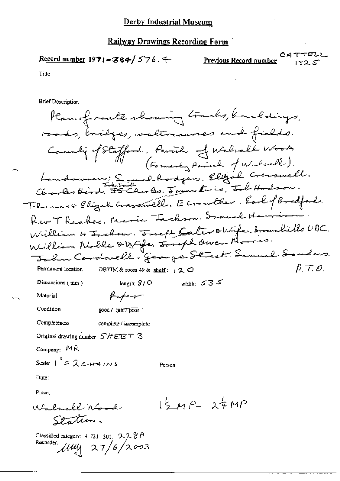$$
\underline{\text{Record number 1971} - 384} / 576.4
$$

Previous Record number

Title

**Brief Description** 

Plan of rante showing tracks, buildings, roads, bridges, waltrausses and fields. County of Stafford. Parish of Walrale Wood.<br>(Formerly Parish of Walrall). Landowners; Symuel Rodgers, Elizab Cresswell. Charles Bird. 5 Thomas Elizabetrasmell. Economither Earl of Boatford. Rev T Reakes. Maria Tachson. Samuel Hamis William H Jackson, Joseph Cater OWife, Brownhills UDC.<br>William Noble OWife, Joseph Owen Morris: John Cordwell. George Street, Samuel Sanders.  $\rho \tau$ . O. Permanent location DBYIM & room 49 & shelf: 120 width:  $53.5$ length;  $8/0$ Dimensions  $(mn)$ Poper Material Condition good / fair 7 poor Completeness complete / incomplete Original drawing number SHEET 3 Company:  $MR$ Scale:  $1^{n}$  = 2 c  $H + 1$  /  $N$  S Person: Date: Place:  $12MP - 24MP$ Walsall Wind Station. Classified category:  $4.721$ , 301, 228A Recorder:  $\mu$ uy 27/6/2003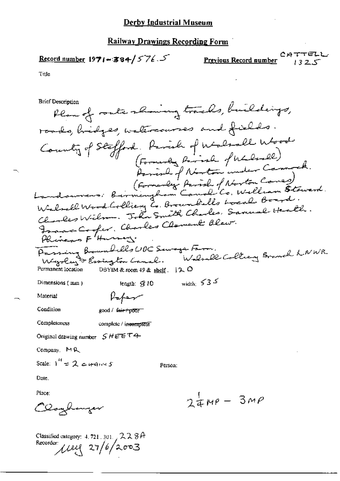$$
\underline{\text{Record number}} 1971 - 384 / 576.5
$$

Recorder:  $\mu$ ell 27/6/2003

CATTEL<br>Previous Record number 1325

Title

**Brief Description** 

Plan of route showing tracks, buildings, roads, bridges, watercourses and fields. Country of Stafford. Parish of Walsall Wood (Formanley Partiel of Norton Comes)<br>Landouveur: Bernicughom Caual Co. Welliam Stoward.<br>Walsell Wood Colliery Co. Brownlides board Board. Charles Wilm. John Smith Charles. Samuel Health. France Cooper, Charles Clament Blew.<br>Phinews F Hurry. Passing Boundells UDC Servege Farm.<br>Walsolus & Essington Canal. Walsoll Colleany Branch NNWR. DBYIM & room 49 & shelf.  $12.0$ Permanent location width:  $535$ Dimensions (mm) length: \$10 Papar Material Condition good / fair poor Completeness complete / incomplete Original drawing number  $SHEE T4$ Company, MR Scale:  $1^{\prime\prime} = 2$  crans 5 Person: Date. Place:  $24MP - 3MP$ Clayhanzer Classified category:  $4, 721, 301, 2, 2, 3$   $\theta$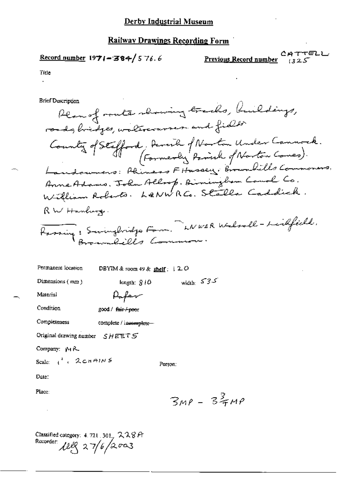### **Record number 1971-384/576.6**

CATTELL Previous Record number

Title  $\overline{a}$ 

**Brief Description** 

Plan of route showing tracks, buildings, roads, bridges, walercourses and fields County of Stefford, Denvile of Norton Under Cannock.<br>(Formerly Parish of Norton Comes). Landouners: Phiness Fitussey, Brownbills Commoners. Anne Adams, John Allrop, Birninghom Cauol Co.<br>William Roberts. L&NWRCo. Stalla Caddick. RW Hanhung. Passing: Swingbridge Fam. WWERWalsoll-Leidfield.

width:  $535$ 

Permanent location DBYIM & room  $49 &$  shelf :  $120$ 

Dimensions (mm)

Material

Paper

length:  $\hat{X}$  /  $\hat{O}$ 

Condition good / fair/poor

Completeness complete / incomplete-

Original drawing number  $SHEETS$ 

Company: MR

Scale:  $i^*$ . 2 chains

Person:

Date:

Place:

 $3MP - 32MP$ 

Classified category:  $4.721$ ,  $301$ ,  $228$  A Recorder 12ll 27/6/2003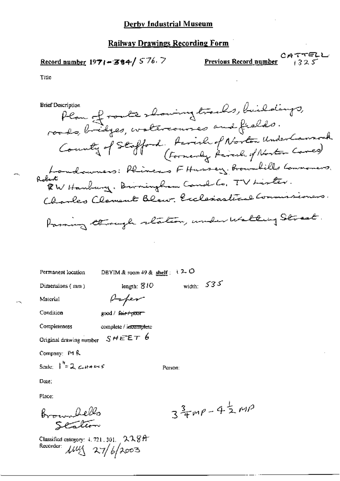# Record number 1971-384/576.7

**Previous Record number** 1325

Title

Plan of route showing tracks, buildings, **Brief Description** roods, bridges, watercourses and fields. County of Stafford, Parish of Norton UnderCannock Londowners: Phines FHussey Brownhills Lammoners. RW Hanbury, Birningham Canal Co, TV Lister. Charles Clement Blaw, Exclesiastical Commissioners. Paring through station, under Walting Street.

Permanent location

DBYIM & room 49 & shelf :  $(2.0$ 

Person:

Dimensions (mm)

length:  $810$ Paper

good / fair poor

Condition

Material

Completeness complete / incomplete

Original drawing number  $SHEE\tau$  6

Company: P1 R

Scale:  $\int_{0}^{\frac{\pi}{2}} 2 \csc \theta + \sin \theta$ 

Date:

Place:

Broundello

Classified category:  $4.721,301, 22.89$ Recorder:  $\mu v \leq 27/6/2003$ 

 $3\frac{3}{4}mp-4\frac{1}{2}mp$ 

width:  $535$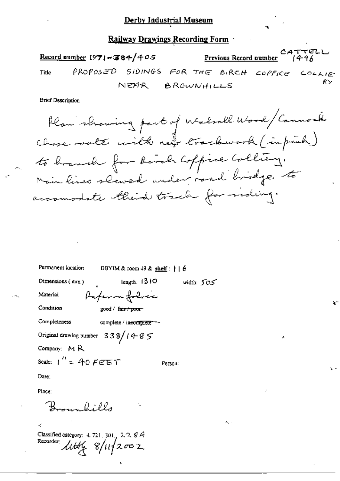$c_A \tau \tau \in L$ .<br>Previous Record number  $f_4 \rightarrow f_6$ Record number 1971-384/405 Title  $PROPOSED$  SIDINGS FOR THE BIRCH COPPICE COLLIES NEAR BROWNHILLS  $_{\rm R}$   $>$ 

.

ÿ.

Brier Description<br>Alam schowing part of Walsall Wood Cannock to branch for bered Coffree Coll " "Main lines slaved under road bridge to

Permanent location DBYIM & room 49 & shelf:  $\vert \vert \vert$   $\theta$ Dimensions (mm ) length:  $1310$  width:  $505$ Material Paper on folice Condition ; good / fair+poor Completeness complete / incomplete<sup>----</sup> Original drawing number  $33\frac{8}{148}$ Company:  $M R$ Scale:  $1'' = A0$  FEET Person: Date: Place:  $\ldots$  and  $\ell$  $\mathcal{A}^{\prime}$ 

Classified category: 4.721, 301,  $2.2.8A$ <br>Recorder:  $L/LL = \frac{m}{5}I/L$  $\mu$ tti  $\gamma$  8/11/2002